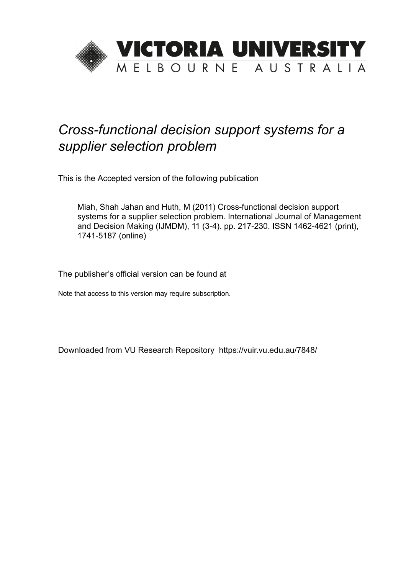

# *Cross-functional decision support systems for a supplier selection problem*

This is the Accepted version of the following publication

Miah, Shah Jahan and Huth, M (2011) Cross-functional decision support systems for a supplier selection problem. International Journal of Management and Decision Making (IJMDM), 11 (3-4). pp. 217-230. ISSN 1462-4621 (print), 1741-5187 (online)

The publisher's official version can be found at

Note that access to this version may require subscription.

Downloaded from VU Research Repository https://vuir.vu.edu.au/7848/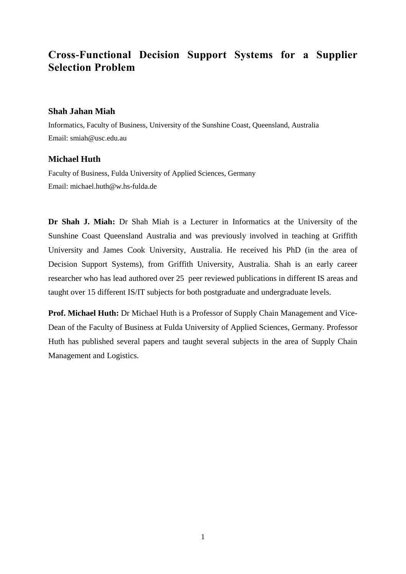# **Cross-Functional Decision Support Systems for a Supplier Selection Problem**

### **Shah Jahan Miah**

Informatics, Faculty of Business, University of the Sunshine Coast, Queensland, Australia Email: smiah@usc.edu.au

## **Michael Huth**

Faculty of Business, Fulda University of Applied Sciences, Germany Email: michael.huth@w.hs-fulda.de

**Dr Shah J. Miah:** Dr Shah Miah is a Lecturer in Informatics at the University of the Sunshine Coast Queensland Australia and was previously involved in teaching at Griffith University and James Cook University, Australia. He received his PhD (in the area of Decision Support Systems), from Griffith University, Australia. Shah is an early career researcher who has lead authored over 25 peer reviewed publications in different IS areas and taught over 15 different IS/IT subjects for both postgraduate and undergraduate levels.

**Prof. Michael Huth:** Dr Michael Huth is a Professor of Supply Chain Management and Vice-Dean of the Faculty of Business at Fulda University of Applied Sciences, Germany. Professor Huth has published several papers and taught several subjects in the area of Supply Chain Management and Logistics.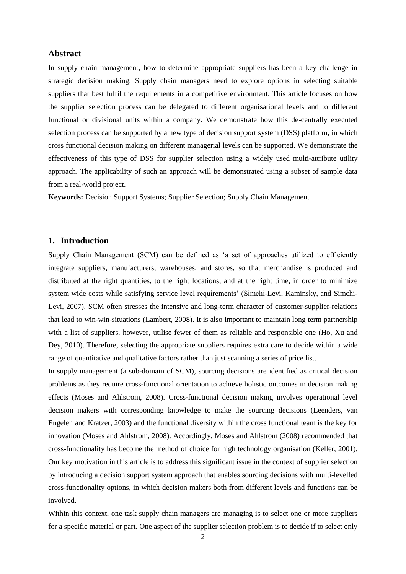#### **Abstract**

In supply chain management, how to determine appropriate suppliers has been a key challenge in strategic decision making. Supply chain managers need to explore options in selecting suitable suppliers that best fulfil the requirements in a competitive environment. This article focuses on how the supplier selection process can be delegated to different organisational levels and to different functional or divisional units within a company. We demonstrate how this de-centrally executed selection process can be supported by a new type of decision support system (DSS) platform, in which cross functional decision making on different managerial levels can be supported. We demonstrate the effectiveness of this type of DSS for supplier selection using a widely used multi-attribute utility approach. The applicability of such an approach will be demonstrated using a subset of sample data from a real-world project.

**Keywords:** Decision Support Systems; Supplier Selection; Supply Chain Management

#### **1. Introduction**

Supply Chain Management (SCM) can be defined as 'a set of approaches utilized to efficiently integrate suppliers, manufacturers, warehouses, and stores, so that merchandise is produced and distributed at the right quantities, to the right locations, and at the right time, in order to minimize system wide costs while satisfying service level requirements' (Simchi-Levi, Kaminsky, and Simchi-Levi, 2007). SCM often stresses the intensive and long-term character of customer-supplier-relations that lead to win-win-situations (Lambert, 2008). It is also important to maintain long term partnership with a list of suppliers, however, utilise fewer of them as reliable and responsible one (Ho, Xu and Dey, 2010). Therefore, selecting the appropriate suppliers requires extra care to decide within a wide range of quantitative and qualitative factors rather than just scanning a series of price list.

In supply management (a sub-domain of SCM), sourcing decisions are identified as critical decision problems as they require cross-functional orientation to achieve holistic outcomes in decision making effects (Moses and Ahlstrom, 2008). Cross-functional decision making involves operational level decision makers with corresponding knowledge to make the sourcing decisions (Leenders, van Engelen and Kratzer, 2003) and the functional diversity within the cross functional team is the key for innovation (Moses and Ahlstrom, 2008). Accordingly, Moses and Ahlstrom (2008) recommended that cross-functionality has become the method of choice for high technology organisation (Keller, 2001). Our key motivation in this article is to address this significant issue in the context of supplier selection by introducing a decision support system approach that enables sourcing decisions with multi-levelled cross-functionality options, in which decision makers both from different levels and functions can be involved.

Within this context, one task supply chain managers are managing is to select one or more suppliers for a specific material or part. One aspect of the supplier selection problem is to decide if to select only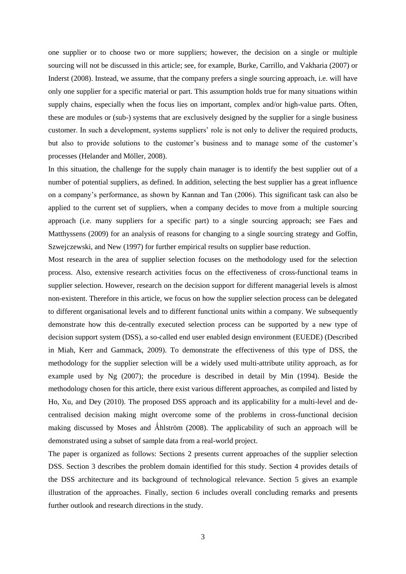one supplier or to choose two or more suppliers; however, the decision on a single or multiple sourcing will not be discussed in this article; see, for example, Burke, Carrillo, and Vakharia (2007) or Inderst (2008). Instead, we assume, that the company prefers a single sourcing approach, i.e. will have only one supplier for a specific material or part. This assumption holds true for many situations within supply chains, especially when the focus lies on important, complex and/or high-value parts. Often, these are modules or (sub-) systems that are exclusively designed by the supplier for a single business customer. In such a development, systems suppliers' role is not only to deliver the required products, but also to provide solutions to the customer's business and to manage some of the customer's processes (Helander and Möller, 2008).

In this situation, the challenge for the supply chain manager is to identify the best supplier out of a number of potential suppliers, as defined. In addition, selecting the best supplier has a great influence on a company's performance, as shown by Kannan and Tan (2006). This significant task can also be applied to the current set of suppliers, when a company decides to move from a multiple sourcing approach (i.e. many suppliers for a specific part) to a single sourcing approach; see Faes and Matthyssens (2009) for an analysis of reasons for changing to a single sourcing strategy and Goffin, Szwejczewski, and New (1997) for further empirical results on supplier base reduction.

Most research in the area of supplier selection focuses on the methodology used for the selection process. Also, extensive research activities focus on the effectiveness of cross-functional teams in supplier selection. However, research on the decision support for different managerial levels is almost non-existent. Therefore in this article, we focus on how the supplier selection process can be delegated to different organisational levels and to different functional units within a company. We subsequently demonstrate how this de-centrally executed selection process can be supported by a new type of decision support system (DSS), a so-called end user enabled design environment (EUEDE) (Described in Miah, Kerr and Gammack, 2009). To demonstrate the effectiveness of this type of DSS, the methodology for the supplier selection will be a widely used multi-attribute utility approach, as for example used by Ng (2007); the procedure is described in detail by Min (1994). Beside the methodology chosen for this article, there exist various different approaches, as compiled and listed by Ho, Xu, and Dey (2010). The proposed DSS approach and its applicability for a multi-level and decentralised decision making might overcome some of the problems in cross-functional decision making discussed by Moses and Åhlström  $(2008)$ . The applicability of such an approach will be demonstrated using a subset of sample data from a real-world project.

The paper is organized as follows: Sections 2 presents current approaches of the supplier selection DSS. Section 3 describes the problem domain identified for this study. Section 4 provides details of the DSS architecture and its background of technological relevance. Section 5 gives an example illustration of the approaches. Finally, section 6 includes overall concluding remarks and presents further outlook and research directions in the study.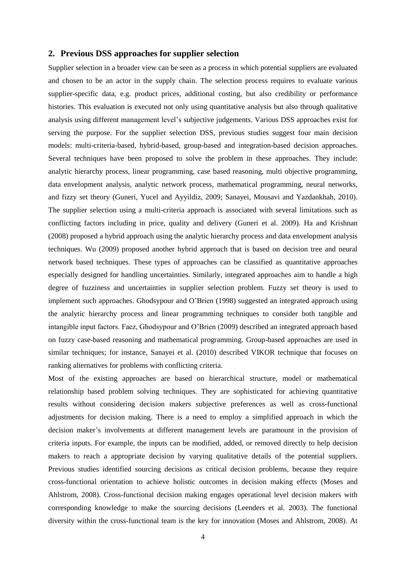#### **2. Previous DSS approaches for supplier selection**

Supplier selection in a broader view can be seen as a process in which potential suppliers are evaluated and chosen to be an actor in the supply chain. The selection process requires to evaluate various supplier-specific data, e.g. product prices, additional costing, but also credibility or performance histories. This evaluation is executed not only using quantitative analysis but also through qualitative analysis using different management level's subjective judgements. Various DSS approaches exist for serving the purpose. For the supplier selection DSS, previous studies suggest four main decision models: multi-criteria-based, hybrid-based, group-based and integration-based decision approaches. Several techniques have been proposed to solve the problem in these approaches. They include: analytic hierarchy process, linear programming, case based reasoning, multi objective programming, data envelopment analysis, analytic network process, mathematical programming, neural networks, and fizzy set theory (Guneri, Yucel and Ayyildiz, 2009; Sanayei, Mousavi and Yazdankhah, 2010). The supplier selection using a multi-criteria approach is associated with several limitations such as conflicting factors including in price, quality and delivery (Guneri et al. 2009). Ha and Krishnan (2008) proposed a hybrid approach using the analytic hierarchy process and data envelopment analysis techniques. Wu (2009) proposed another hybrid approach that is based on decision tree and neural network based techniques. These types of approaches can be classified as quantitative approaches especially designed for handling uncertainties. Similarly, integrated approaches aim to handle a high degree of fuzziness and uncertainties in supplier selection problem. Fuzzy set theory is used to implement such approaches. Ghodsypour and O'Brien (1998) suggested an integrated approach using the analytic hierarchy process and linear programming techniques to consider both tangible and intangible input factors. Faez, Ghodsypour and O'Brien (2009) described an integrated approach based on fuzzy case-based reasoning and mathematical programming. Group-based approaches are used in similar techniques; for instance, Sanayei et al. (2010) described VIKOR technique that focuses on ranking alternatives for problems with conflicting criteria.

Most of the existing approaches are based on hierarchical structure, model or mathematical relationship based problem solving techniques. They are sophisticated for achieving quantitative results without considering decision makers subjective preferences as well as cross-functional adjustments for decision making. There is a need to employ a simplified approach in which the decision maker's involvements at different management levels are paramount in the provision of criteria inputs. For example, the inputs can be modified, added, or removed directly to help decision makers to reach a appropriate decision by varying qualitative details of the potential suppliers. Previous studies identified sourcing decisions as critical decision problems, because they require cross-functional orientation to achieve holistic outcomes in decision making effects (Moses and Ahlstrom, 2008). Cross-functional decision making engages operational level decision makers with corresponding knowledge to make the sourcing decisions (Leenders et al. 2003). The functional diversity within the cross-functional team is the key for innovation (Moses and Ahlstrom, 2008). At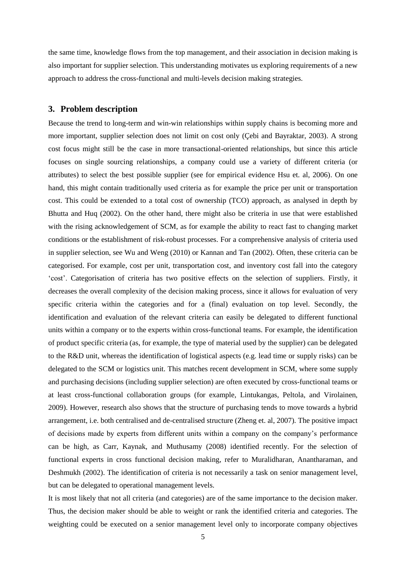the same time, knowledge flows from the top management, and their association in decision making is also important for supplier selection. This understanding motivates us exploring requirements of a new approach to address the cross-functional and multi-levels decision making strategies.

#### **3. Problem description**

Because the trend to long-term and win-win relationships within supply chains is becoming more and more important, supplier selection does not limit on cost only (Çebi and Bayraktar, 2003). A strong cost focus might still be the case in more transactional-oriented relationships, but since this article focuses on single sourcing relationships, a company could use a variety of different criteria (or attributes) to select the best possible supplier (see for empirical evidence Hsu et. al, 2006). On one hand, this might contain traditionally used criteria as for example the price per unit or transportation cost. This could be extended to a total cost of ownership (TCO) approach, as analysed in depth by Bhutta and Huq (2002). On the other hand, there might also be criteria in use that were established with the rising acknowledgement of SCM, as for example the ability to react fast to changing market conditions or the establishment of risk-robust processes. For a comprehensive analysis of criteria used in supplier selection, see Wu and Weng (2010) or Kannan and Tan (2002). Often, these criteria can be categorised. For example, cost per unit, transportation cost, and inventory cost fall into the category 'cost'. Categorisation of criteria has two positive effects on the selection of suppliers. Firstly, it decreases the overall complexity of the decision making process, since it allows for evaluation of very specific criteria within the categories and for a (final) evaluation on top level. Secondly, the identification and evaluation of the relevant criteria can easily be delegated to different functional units within a company or to the experts within cross-functional teams. For example, the identification of product specific criteria (as, for example, the type of material used by the supplier) can be delegated to the R&D unit, whereas the identification of logistical aspects (e.g. lead time or supply risks) can be delegated to the SCM or logistics unit. This matches recent development in SCM, where some supply and purchasing decisions (including supplier selection) are often executed by cross-functional teams or at least cross-functional collaboration groups (for example, Lintukangas, Peltola, and Virolainen, 2009). However, research also shows that the structure of purchasing tends to move towards a hybrid arrangement, i.e. both centralised and de-centralised structure (Zheng et. al, 2007). The positive impact of decisions made by experts from different units within a company on the company's performance can be high, as Carr, Kaynak, and Muthusamy (2008) identified recently. For the selection of functional experts in cross functional decision making, refer to Muralidharan, Anantharaman, and Deshmukh (2002). The identification of criteria is not necessarily a task on senior management level, but can be delegated to operational management levels.

It is most likely that not all criteria (and categories) are of the same importance to the decision maker. Thus, the decision maker should be able to weight or rank the identified criteria and categories. The weighting could be executed on a senior management level only to incorporate company objectives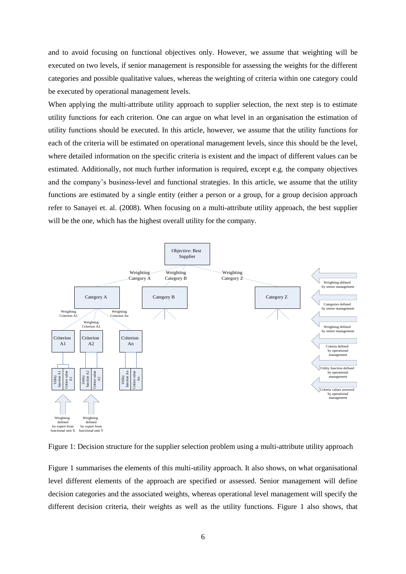and to avoid focusing on functional objectives only. However, we assume that weighting will be executed on two levels, if senior management is responsible for assessing the weights for the different categories and possible qualitative values, whereas the weighting of criteria within one category could be executed by operational management levels.

When applying the multi-attribute utility approach to supplier selection, the next step is to estimate utility functions for each criterion. One can argue on what level in an organisation the estimation of utility functions should be executed. In this article, however, we assume that the utility functions for each of the criteria will be estimated on operational management levels, since this should be the level, where detailed information on the specific criteria is existent and the impact of different values can be estimated. Additionally, not much further information is required, except e.g. the company objectives and the company's business-level and functional strategies. In this article, we assume that the utility functions are estimated by a single entity (either a person or a group, for a group decision approach refer to Sanayei et. al. (2008). When focusing on a multi-attribute utility approach, the best supplier will be the one, which has the highest overall utility for the company.



Figure 1: Decision structure for the supplier selection problem using a multi-attribute utility approach

Figure 1 summarises the elements of this multi-utility approach. It also shows, on what organisational level different elements of the approach are specified or assessed. Senior management will define decision categories and the associated weights, whereas operational level management will specify the different decision criteria, their weights as well as the utility functions. Figure 1 also shows, that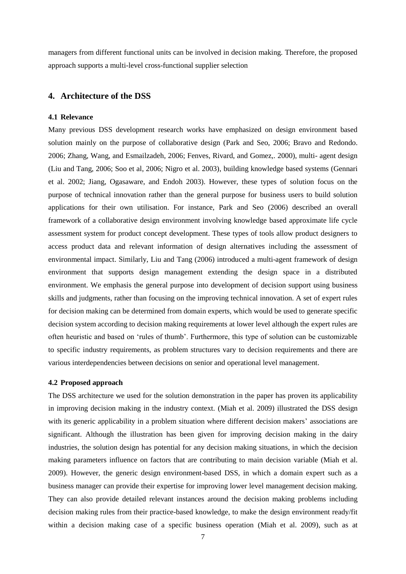managers from different functional units can be involved in decision making. Therefore, the proposed approach supports a multi-level cross-functional supplier selection

#### **4. Architecture of the DSS**

#### **4.1 Relevance**

Many previous DSS development research works have emphasized on design environment based solution mainly on the purpose of collaborative design (Park and Seo, 2006; Bravo and Redondo. 2006; Zhang, Wang, and Esmailzadeh, 2006; Fenves, Rivard, and Gomez,. 2000), multi- agent design (Liu and Tang, 2006; Soo et al, 2006; Nigro et al. 2003), building knowledge based systems (Gennari et al. 2002; Jiang, Ogasaware, and Endoh 2003). However, these types of solution focus on the purpose of technical innovation rather than the general purpose for business users to build solution applications for their own utilisation. For instance, Park and Seo (2006) described an overall framework of a collaborative design environment involving knowledge based approximate life cycle assessment system for product concept development. These types of tools allow product designers to access product data and relevant information of design alternatives including the assessment of environmental impact. Similarly, Liu and Tang (2006) introduced a multi-agent framework of design environment that supports design management extending the design space in a distributed environment. We emphasis the general purpose into development of decision support using business skills and judgments, rather than focusing on the improving technical innovation. A set of expert rules for decision making can be determined from domain experts, which would be used to generate specific decision system according to decision making requirements at lower level although the expert rules are often heuristic and based on 'rules of thumb'. Furthermore, this type of solution can be customizable to specific industry requirements, as problem structures vary to decision requirements and there are various interdependencies between decisions on senior and operational level management.

#### **4.2 Proposed approach**

The DSS architecture we used for the solution demonstration in the paper has proven its applicability in improving decision making in the industry context. (Miah et al. 2009) illustrated the DSS design with its generic applicability in a problem situation where different decision makers' associations are significant. Although the illustration has been given for improving decision making in the dairy industries, the solution design has potential for any decision making situations, in which the decision making parameters influence on factors that are contributing to main decision variable (Miah et al. 2009). However, the generic design environment-based DSS, in which a domain expert such as a business manager can provide their expertise for improving lower level management decision making. They can also provide detailed relevant instances around the decision making problems including decision making rules from their practice-based knowledge, to make the design environment ready/fit within a decision making case of a specific business operation (Miah et al. 2009), such as at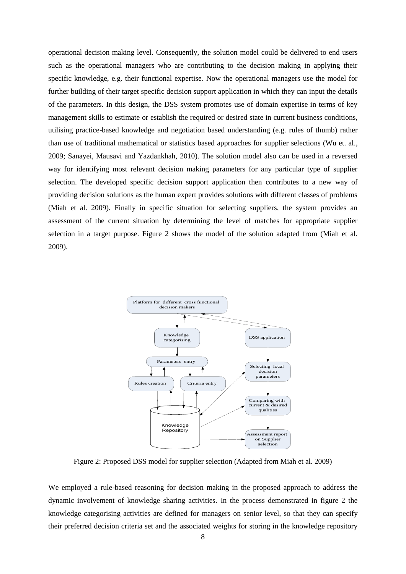operational decision making level. Consequently, the solution model could be delivered to end users such as the operational managers who are contributing to the decision making in applying their specific knowledge, e.g. their functional expertise. Now the operational managers use the model for further building of their target specific decision support application in which they can input the details of the parameters. In this design, the DSS system promotes use of domain expertise in terms of key management skills to estimate or establish the required or desired state in current business conditions, utilising practice-based knowledge and negotiation based understanding (e.g. rules of thumb) rather than use of traditional mathematical or statistics based approaches for supplier selections (Wu et. al., 2009; Sanayei, Mausavi and Yazdankhah, 2010). The solution model also can be used in a reversed way for identifying most relevant decision making parameters for any particular type of supplier selection. The developed specific decision support application then contributes to a new way of providing decision solutions as the human expert provides solutions with different classes of problems (Miah et al. 2009). Finally in specific situation for selecting suppliers, the system provides an assessment of the current situation by determining the level of matches for appropriate supplier selection in a target purpose. [Figure 2](#page-8-0) shows the model of the solution adapted from (Miah et al. 2009).



Figure 2: Proposed DSS model for supplier selection (Adapted from Miah et al. 2009)

<span id="page-8-0"></span>We employed a rule-based reasoning for decision making in the proposed approach to address the dynamic involvement of knowledge sharing activities. In the process demonstrated in figure 2 the knowledge categorising activities are defined for managers on senior level, so that they can specify their preferred decision criteria set and the associated weights for storing in the knowledge repository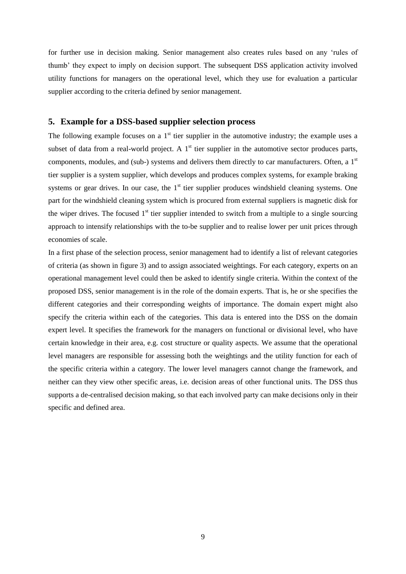for further use in decision making. Senior management also creates rules based on any 'rules of thumb' they expect to imply on decision support. The subsequent DSS application activity involved utility functions for managers on the operational level, which they use for evaluation a particular supplier according to the criteria defined by senior management.

#### **5. Example for a DSS-based supplier selection process**

The following example focuses on a  $1<sup>st</sup>$  tier supplier in the automotive industry; the example uses a subset of data from a real-world project. A  $1<sup>st</sup>$  tier supplier in the automotive sector produces parts, components, modules, and (sub-) systems and delivers them directly to car manufacturers. Often, a  $1<sup>st</sup>$ tier supplier is a system supplier, which develops and produces complex systems, for example braking systems or gear drives. In our case, the  $1<sup>st</sup>$  tier supplier produces windshield cleaning systems. One part for the windshield cleaning system which is procured from external suppliers is magnetic disk for the wiper drives. The focused  $1<sup>st</sup>$  tier supplier intended to switch from a multiple to a single sourcing approach to intensify relationships with the to-be supplier and to realise lower per unit prices through economies of scale.

In a first phase of the selection process, senior management had to identify a list of relevant categories of criteria (as shown in figure 3) and to assign associated weightings. For each category, experts on an operational management level could then be asked to identify single criteria. Within the context of the proposed DSS, senior management is in the role of the domain experts. That is, he or she specifies the different categories and their corresponding weights of importance. The domain expert might also specify the criteria within each of the categories. This data is entered into the DSS on the domain expert level. It specifies the framework for the managers on functional or divisional level, who have certain knowledge in their area, e.g. cost structure or quality aspects. We assume that the operational level managers are responsible for assessing both the weightings and the utility function for each of the specific criteria within a category. The lower level managers cannot change the framework, and neither can they view other specific areas, i.e. decision areas of other functional units. The DSS thus supports a de-centralised decision making, so that each involved party can make decisions only in their specific and defined area.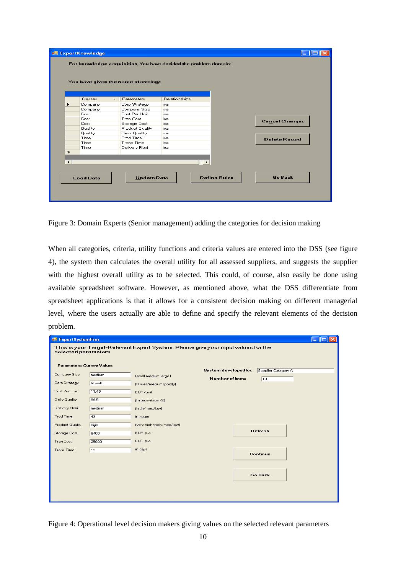|                        | Classes        | Parameters<br>$\sim$ 11 | Relationships |                       |                       |
|------------------------|----------------|-------------------------|---------------|-----------------------|-----------------------|
| ▶                      | Company        | Corp Strategy           | isa           |                       |                       |
|                        | Company        | Company Size            | isa           |                       |                       |
|                        | Cost           | Cost Per Unit           | isal          |                       |                       |
|                        | Cost           | <b>Tran Cost</b>        | isa           |                       |                       |
|                        | Cost           | Storage Cost            | isa           |                       | <b>Cancel Changes</b> |
|                        | Quality        | Product Quality         | isa           |                       |                       |
|                        | <b>Quality</b> | Deliv Quality           | isa           |                       |                       |
|                        | Time           | Prod Time               | isa           |                       | <b>Delete Record</b>  |
|                        | Time           | <b>Trans Time</b>       | isa           |                       |                       |
|                        | Time           | Delivery Flexi          | isa           |                       |                       |
| $*$                    |                |                         |               |                       |                       |
|                        |                |                         |               |                       |                       |
| $\left  \cdot \right $ |                |                         |               | $\blacktriangleright$ |                       |

Figure 3: Domain Experts (Senior management) adding the categories for decision making

When all categories, criteria, utility functions and criteria values are entered into the DSS (see figure 4), the system then calculates the overall utility for all assessed suppliers, and suggests the supplier with the highest overall utility as to be selected. This could, of course, also easily be done using available spreadsheet software. However, as mentioned above, what the DSS differentiate from spreadsheet applications is that it allows for a consistent decision making on different managerial level, where the users actually are able to define and specify the relevant elements of the decision problem.

| <b>ExpertSystemFrm</b>                                                                                   |             |                          |                       |  |                     | $-$ 101 |
|----------------------------------------------------------------------------------------------------------|-------------|--------------------------|-----------------------|--|---------------------|---------|
| This is your Target-Relevant Expert System. Please give your input values for the<br>selected parameters |             |                          |                       |  |                     |         |
| <b>Parameters: Current Values</b>                                                                        |             |                          | System developed for: |  | Supplier Catagory A |         |
| Company Size                                                                                             | medium      | (small,medium,large)     | Number of Items       |  | $\sqrt{10}$         |         |
| Corp Strategy                                                                                            | fit well    | (fit well/medium/poorly) |                       |  |                     |         |
| Cost Per Unit                                                                                            | 11.48       | EUR/unit                 |                       |  |                     |         |
| Deliv Quality                                                                                            | 99.5        | (In proentage -%)        |                       |  |                     |         |
| Delivery Flexi                                                                                           | medium      | (high/med/low)           |                       |  |                     |         |
| Prod Time                                                                                                | $\sqrt{43}$ | in hours                 |                       |  |                     |         |
| <b>Product Quality</b>                                                                                   | high        | (very high/high/med/low) |                       |  |                     |         |
| Storage Cost                                                                                             | 8400        | EUR p.a.                 |                       |  | Refresh             |         |
| <b>Tran Cost</b>                                                                                         | 25800       | EUR p.a.                 |                       |  |                     |         |
| <b>Trans Time</b>                                                                                        | $\sqrt{12}$ | in days                  |                       |  |                     |         |
|                                                                                                          |             |                          |                       |  | Continue            |         |
|                                                                                                          |             |                          |                       |  |                     |         |
|                                                                                                          |             |                          |                       |  | <b>Go Back</b>      |         |
|                                                                                                          |             |                          |                       |  |                     |         |
|                                                                                                          |             |                          |                       |  |                     |         |
|                                                                                                          |             |                          |                       |  |                     |         |

Figure 4: Operational level decision makers giving values on the selected relevant parameters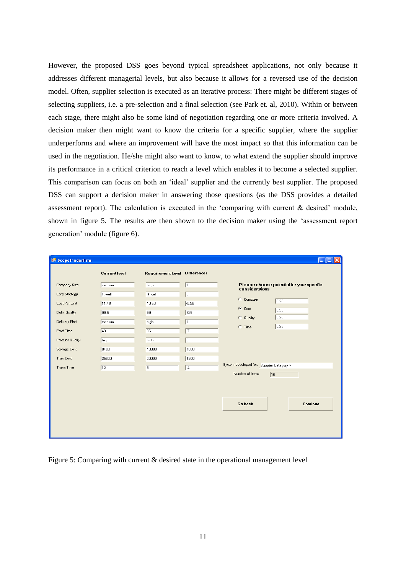However, the proposed DSS goes beyond typical spreadsheet applications, not only because it addresses different managerial levels, but also because it allows for a reversed use of the decision model. Often, supplier selection is executed as an iterative process: There might be different stages of selecting suppliers, i.e. a pre-selection and a final selection (see Park et. al, 2010). Within or between each stage, there might also be some kind of negotiation regarding one or more criteria involved. A decision maker then might want to know the criteria for a specific supplier, where the supplier underperforms and where an improvement will have the most impact so that this information can be used in the negotiation. He/she might also want to know, to what extend the supplier should improve its performance in a critical criterion to reach a level which enables it to become a selected supplier. This comparison can focus on both an 'ideal' supplier and the currently best supplier. The proposed DSS can support a decision maker in answering those questions (as the DSS provides a detailed assessment report). The calculation is executed in the 'comparing with current & desired' module, shown in figure 5. The results are then shown to the decision maker using the 'assessment report generation' module (figure 6).

| ScopeFinderFrm                         |                      |                                      |                       | $\  \_ \  \square \  \times$                                |
|----------------------------------------|----------------------|--------------------------------------|-----------------------|-------------------------------------------------------------|
|                                        | <b>Current level</b> | <b>Requirement Level Differences</b> |                       |                                                             |
| Company Size                           | medium               | large                                | $\sqrt{1}$            | Please choose potential for your specific<br>considerations |
| Corp Strategy<br>Cost Per Unit         | fit well<br>11.48    | fit well<br>10.50                    | $\sqrt{a}$<br>$-0.98$ | C Company<br>0.20<br>C Cost                                 |
| Deliv Quality<br>Delivery Flexi        | 99.5<br>medium       | 99<br>high                           | $-0.5$<br>$\vert$ 1   | 0.30<br>0.20<br>C Quality                                   |
| Prod Time                              | $\sqrt{43}$          | 36                                   | $\overline{17}$       | 0.25<br>$C$ Time                                            |
| <b>Product Quality</b><br>Storage Cost | high<br>8400         | high<br>10000                        | $\sqrt{0}$<br>1600    |                                                             |
| <b>Tran Cost</b><br><b>Trans Time</b>  | 25800<br>$\sqrt{12}$ | 30000<br>$\sqrt{8}$                  | 4200<br>$-4$          | System developed for: Supplier Catagory A                   |
|                                        |                      |                                      |                       | Number of Items<br>$\sqrt{10}$                              |
|                                        |                      |                                      |                       |                                                             |
|                                        |                      |                                      |                       | <b>Go back</b><br>Continue                                  |
|                                        |                      |                                      |                       |                                                             |
|                                        |                      |                                      |                       |                                                             |

Figure 5: Comparing with current & desired state in the operational management level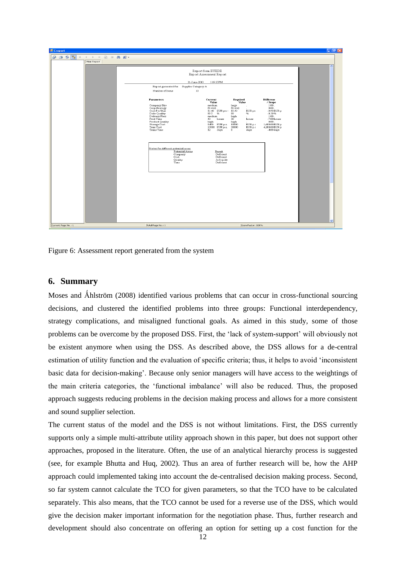| <b>ILE</b> Creport                                                                                                               |                                           |                                                                                              | $\Box$ e $\boxtimes$             |
|----------------------------------------------------------------------------------------------------------------------------------|-------------------------------------------|----------------------------------------------------------------------------------------------|----------------------------------|
| 2532<br>$\leftarrow$ $\rightarrow$ $\leftarrow$ $\leftarrow$ $\leftarrow$ $\leftarrow$ $\leftarrow$ $\leftarrow$<br>$\mathbb{N}$ |                                           |                                                                                              |                                  |
| Main Report                                                                                                                      |                                           |                                                                                              |                                  |
|                                                                                                                                  |                                           |                                                                                              | $\overline{\phantom{a}}$         |
|                                                                                                                                  |                                           | Report form EUEDE<br>Export Assessment Report                                                |                                  |
|                                                                                                                                  |                                           |                                                                                              |                                  |
|                                                                                                                                  | 21-June-2010                              | 1:19:23PM                                                                                    |                                  |
|                                                                                                                                  | Report generated for: Supplier Catagory A |                                                                                              |                                  |
|                                                                                                                                  | Number of Items<br>$10$                   |                                                                                              |                                  |
|                                                                                                                                  | <b>Parameters</b>                         | Current<br>Required                                                                          | <b>Differene</b>                 |
|                                                                                                                                  |                                           | Value<br>Value                                                                               | $/$ Scope                        |
|                                                                                                                                  | Company Size<br>Corp Strategy             | medium<br>large<br>fit well.<br>fit well                                                     | 1.00.<br>0.00.                   |
|                                                                                                                                  | Cost Per Unit<br>Deliv Quality            | 10.50<br>11.48 EUR per 1<br>EUR pe:<br>99.5 %<br>99<br>$\%$                                  | $-0.98$ EUR $p$<br>$-0.50%$      |
|                                                                                                                                  | Delivery Flexi<br>Prod Time               | me dium.<br>high<br>43<br>$36-$<br>hours<br>hours                                            | 1.00.<br>-7.00 hours             |
|                                                                                                                                  | Product Quality                           | high<br>high                                                                                 | 0.00.                            |
|                                                                                                                                  | Storage Cost<br>Tran Cost                 | EUR p. $\varepsilon$<br>$8400 -$<br>EUR p.a.<br>10000<br>25800 EUR p.a.<br>30000<br>EUR p.c. | 1,600.00 EUR p<br>4,200.00 EUR p |
|                                                                                                                                  | <b>Trans Time</b>                         | 8<br>12<br>days<br>days                                                                      | $-4.00$ days                     |
|                                                                                                                                  |                                           |                                                                                              |                                  |
|                                                                                                                                  |                                           |                                                                                              |                                  |
|                                                                                                                                  | Status for different potential areas      |                                                                                              |                                  |
|                                                                                                                                  | Potential Areas                           | Result                                                                                       |                                  |
|                                                                                                                                  | Company<br>Cost                           | Deficient<br>Deficient                                                                       |                                  |
|                                                                                                                                  | Quality<br>Time                           | Adequate<br>Deficient                                                                        |                                  |
|                                                                                                                                  |                                           |                                                                                              |                                  |
|                                                                                                                                  |                                           |                                                                                              |                                  |
|                                                                                                                                  |                                           |                                                                                              |                                  |
|                                                                                                                                  |                                           |                                                                                              |                                  |
|                                                                                                                                  |                                           |                                                                                              |                                  |
|                                                                                                                                  |                                           |                                                                                              |                                  |
|                                                                                                                                  |                                           |                                                                                              |                                  |
|                                                                                                                                  |                                           |                                                                                              |                                  |
|                                                                                                                                  |                                           |                                                                                              |                                  |
|                                                                                                                                  |                                           |                                                                                              |                                  |
|                                                                                                                                  |                                           |                                                                                              |                                  |
|                                                                                                                                  |                                           |                                                                                              | $\checkmark$                     |
| Current Page No.: 1                                                                                                              | Total Page No.: 1                         | Zoom Factor: 100%                                                                            |                                  |

Figure 6: Assessment report generated from the system

#### **6. Summary**

Moses and Åhlström (2008) identified various problems that can occur in cross-functional sourcing decisions, and clustered the identified problems into three groups: Functional interdependency, strategy complications, and misaligned functional goals. As aimed in this study, some of those problems can be overcome by the proposed DSS. First, the 'lack of system-support' will obviously not be existent anymore when using the DSS. As described above, the DSS allows for a de-central estimation of utility function and the evaluation of specific criteria; thus, it helps to avoid 'inconsistent basic data for decision-making'. Because only senior managers will have access to the weightings of the main criteria categories, the 'functional imbalance' will also be reduced. Thus, the proposed approach suggests reducing problems in the decision making process and allows for a more consistent and sound supplier selection.

The current status of the model and the DSS is not without limitations. First, the DSS currently supports only a simple multi-attribute utility approach shown in this paper, but does not support other approaches, proposed in the literature. Often, the use of an analytical hierarchy process is suggested (see, for example Bhutta and Huq, 2002). Thus an area of further research will be, how the AHP approach could implemented taking into account the de-centralised decision making process. Second, so far system cannot calculate the TCO for given parameters, so that the TCO have to be calculated separately. This also means, that the TCO cannot be used for a reverse use of the DSS, which would give the decision maker important information for the negotiation phase. Thus, further research and development should also concentrate on offering an option for setting up a cost function for the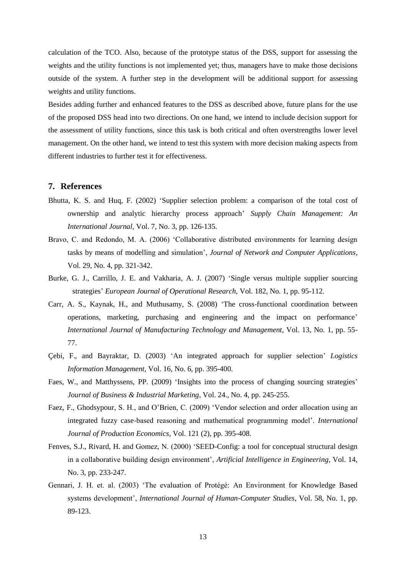calculation of the TCO. Also, because of the prototype status of the DSS, support for assessing the weights and the utility functions is not implemented yet; thus, managers have to make those decisions outside of the system. A further step in the development will be additional support for assessing weights and utility functions.

Besides adding further and enhanced features to the DSS as described above, future plans for the use of the proposed DSS head into two directions. On one hand, we intend to include decision support for the assessment of utility functions, since this task is both critical and often overstrengths lower level management. On the other hand, we intend to test this system with more decision making aspects from different industries to further test it for effectiveness.

#### **7. References**

- Bhutta, K. S. and Huq, F. (2002) 'Supplier selection problem: a comparison of the total cost of ownership and analytic hierarchy process approach' *Supply Chain Management: An International Journal*, Vol. 7, No. 3, pp. 126-135.
- Bravo, C. and Redondo, M. A. (2006) 'Collaborative distributed environments for learning design tasks by means of modelling and simulation', *Journal of Network and Computer Applications*, Vol. 29, No. 4, pp. 321-342.
- Burke, G. J., Carrillo, J. E. and Vakharia, A. J. (2007) 'Single versus multiple supplier sourcing strategies' *European Journal of Operational Research*, Vol. 182, No. 1, pp. 95-112.
- Carr, A. S., Kaynak, H., and Muthusamy, S. (2008) 'The cross-functional coordination between operations, marketing, purchasing and engineering and the impact on performance' *International Journal of Manufacturing Technology and Management*, Vol. 13, No. 1, pp. 55- 77.
- Çebi, F., and Bayraktar, D. (2003) 'An integrated approach for supplier selection' *Logistics Information Management*, Vol. 16, No. 6, pp. 395-400.
- Faes, W., and Matthyssens, PP. (2009) 'Insights into the process of changing sourcing strategies' *Journal of Business & Industrial Marketing*, Vol. 24., No. 4, pp. 245-255.
- Faez, F., Ghodsypour, S. H., and O'Brien, C. (2009) 'Vendor selection and order allocation using an integrated fuzzy case-based reasoning and mathematical programming model'. *International Journal of Production Economics,* Vol. 121 (2), pp. 395-408.
- Fenves, S.J., Rivard, H. and Gomez, N. (2000) 'SEED-Config: a tool for conceptual structural design in a collaborative building design environment', *Artificial Intelligence in Engineering*, Vol. 14, No. 3, pp. 233-247.
- Gennari, J. H. et. al. (2003) 'The evaluation of Protégé: An Environment for Knowledge Based systems development', *International Journal of Human-Computer Studies*, Vol. 58, No. 1, pp. 89-123.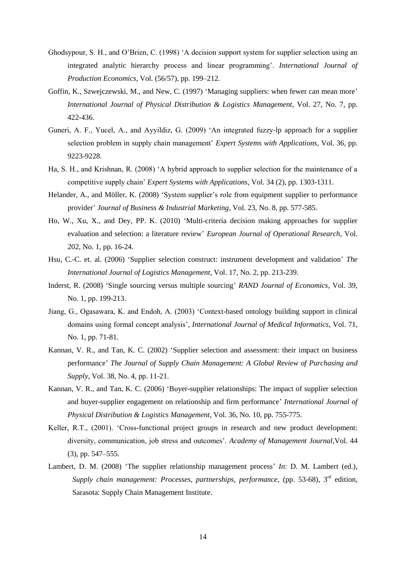- Ghodsypour, S. H., and O'Brien, C. (1998) 'A decision support system for supplier selection using an integrated analytic hierarchy process and linear programming'. *International Journal of Production Economics*, Vol. (56/57), pp. 199–212.
- Goffin, K., Szwejczewski, M., and New, C. (1997) 'Managing suppliers: when fewer can mean more' *International Journal of Physical Distribution & Logistics Management*, Vol. 27, No. 7, pp. 422-436.
- Guneri, A. F., Yucel, A., and Ayyildiz, G. (2009) 'An integrated fuzzy-lp approach for a supplier selection problem in supply chain management' *Expert Systems with Applications*, Vol. 36, pp. 9223-9228.
- Ha, S. H., and Krishnan, R. (2008) 'A hybrid approach to supplier selection for the maintenance of a competitive supply chain' *Expert Systems with Applications*, Vol. 34 (2), pp. 1303-1311.
- Helander, A., and Möller, K. (2008) 'System supplier's role from equipment supplier to performance provider' *Journal of Business & Industrial Marketing*, Vol. 23, No. 8, pp. 577-585.
- Ho, W., Xu, X., and Dey, PP. K. (2010) 'Multi-criteria decision making approaches for supplier evaluation and selection: a literature review' *European Journal of Operational Research*, Vol. 202, No. 1, pp. 16-24.
- Hsu, C.-C. et. al. (2006) 'Supplier selection construct: instrument development and validation' *The International Journal of Logistics Management*, Vol. 17, No. 2, pp. 213-239.
- Inderst, R. (2008) 'Single sourcing versus multiple sourcing' *RAND Journal of Economics*, Vol. 39, No. 1, pp. 199-213.
- Jiang, G., Ogasawara, K. and Endoh, A. (2003) 'Context-based ontology building support in clinical domains using formal concept analysis', *International Journal of Medical Informatics*, Vol. 71, No. 1, pp. 71-81.
- Kannan, V. R., and Tan, K. C. (2002) 'Supplier selection and assessment: their impact on business performance' *The Journal of Supply Chain Management: A Global Review of Purchasing and Supply*, Vol. 38, No. 4, pp. 11-21.
- Kannan, V. R., and Tan, K. C. (2006) 'Buyer-supplier relationships: The impact of supplier selection and buyer-supplier engagement on relationship and firm performance' *International Journal of Physical Distribution & Logistics Management*, Vol. 36, No. 10, pp. 755-775.
- Keller, R.T., (2001). 'Cross-functional project groups in research and new product development: diversity, communication, job stress and outcomes'. *Academy of Management Journal*,Vol. 44 (3), pp. 547–555.
- Lambert, D. M. (2008) 'The supplier relationship management process' *In*: D. M. Lambert (ed.), Supply chain management: Processes, partnerships, performance, (pp. 53-68), 3<sup>rd</sup> edition, Sarasota: Supply Chain Management Institute.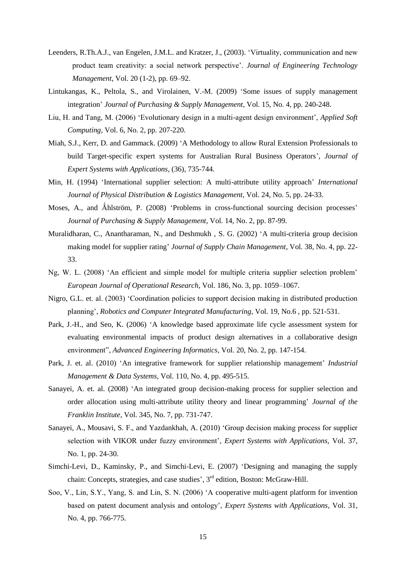- Leenders, R.Th.A.J., van Engelen, J.M.L. and Kratzer, J., (2003). 'Virtuality, communication and new product team creativity: a social network perspective'. *Journal of Engineering Technology Management*, Vol. 20 (1-2), pp. 69–92.
- Lintukangas, K., Peltola, S., and Virolainen, V.-M. (2009) 'Some issues of supply management integration' *Journal of Purchasing & Supply Management*, Vol. 15, No. 4, pp. 240-248.
- Liu, H. and Tang, M. (2006) 'Evolutionary design in a multi-agent design environment', *Applied Soft Computing*, Vol. 6, No. 2, pp. 207-220.
- Miah, S.J., Kerr, D. and Gammack. (2009) 'A Methodology to allow Rural Extension Professionals to build Target-specific expert systems for Australian Rural Business Operators', *Journal of Expert Systems with Applications*, (36), 735-744.
- Min, H. (1994) 'International supplier selection: A multi-attribute utility approach' *International Journal of Physical Distribution & Logistics Management*, Vol. 24, No. 5, pp. 24-33.
- Moses, A., and Åhlström, P. (2008) 'Problems in cross-functional sourcing decision processes' *Journal of Purchasing & Supply Management*, Vol. 14, No. 2, pp. 87-99.
- Muralidharan, C., Anantharaman, N., and Deshmukh , S. G. (2002) 'A multi-criteria group decision making model for supplier rating' *Journal of Supply Chain Management*, Vol. 38, No. 4, pp. 22- 33.
- Ng, W. L. (2008) 'An efficient and simple model for multiple criteria supplier selection problem' *European Journal of Operational Research*, Vol. 186, No. 3, pp. 1059–1067.
- Nigro, G.L. et. al. (2003) 'Coordination policies to support decision making in distributed production planning', *Robotics and Computer Integrated Manufacturing*, Vol. 19, No.6 , pp. 521-531.
- Park, J.-H., and Seo, K. (2006) 'A knowledge based approximate life cycle assessment system for evaluating environmental impacts of product design alternatives in a collaborative design environment", *Advanced Engineering Informatics*, Vol. 20, No. 2, pp. 147-154.
- Park, J. et. al. (2010) 'An integrative framework for supplier relationship management' *Industrial Management & Data Systems*, Vol. 110, No. 4, pp. 495-515.
- Sanayei, A. et. al. (2008) 'An integrated group decision-making process for supplier selection and order allocation using multi-attribute utility theory and linear programming' *Journal of the Franklin Institute*, Vol. 345, No. 7, pp. 731-747.
- Sanayei, A., Mousavi, S. F., and Yazdankhah, A. (2010) 'Group decision making process for supplier selection with VIKOR under fuzzy environment', *Expert Systems with Applications,* Vol. 37, No. 1, pp. 24-30.
- Simchi-Levi, D., Kaminsky, P., and Simchi-Levi, E. (2007) 'Designing and managing the supply chain: Concepts, strategies, and case studies', 3<sup>rd</sup> edition, Boston: McGraw-Hill.
- Soo, V., Lin, S.Y., Yang, S. and Lin, S. N. (2006) 'A cooperative multi-agent platform for invention based on patent document analysis and ontology', *Expert Systems with Applications*, Vol. 31, No. 4, pp. 766-775.